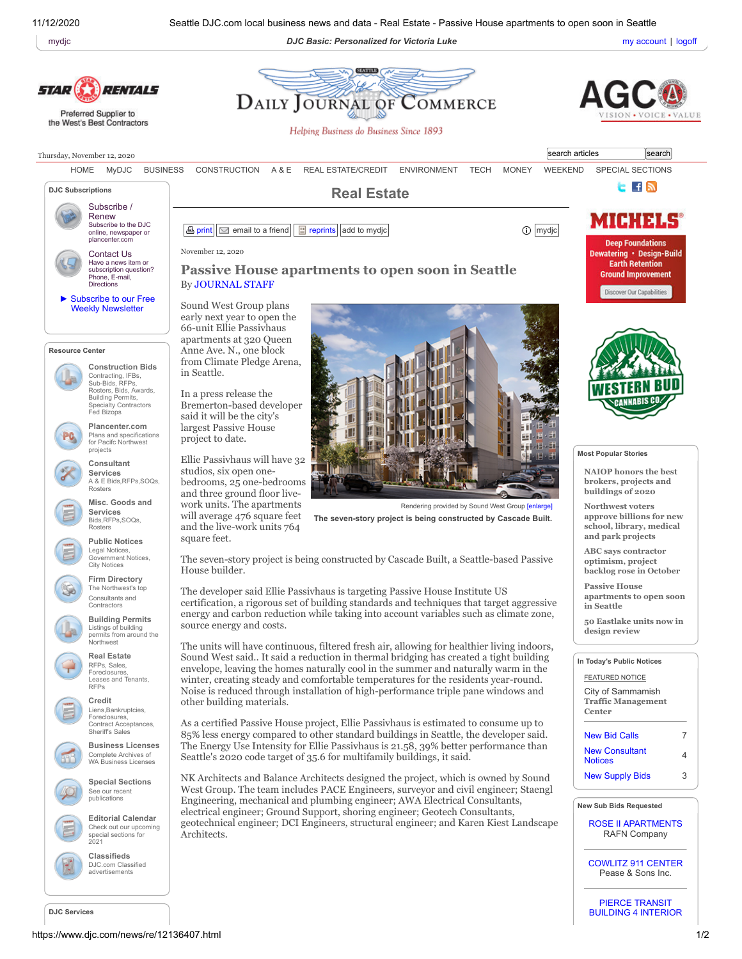11/12/2020 Seattle DJC.com local business news and data - Real Estate - Passive House apartments to open soon in Seattle

[mydjc](https://www.djc.com/my/) **Example 2018 DJC Basic: Personalized for Victoria Luke My account | [logoff](https://www.djc.com/func/logoff.php)** [my account](https://www.djc.com/my/current.php?action=Account) | logoff





**DJC Services**

PIERCE TRANSIT BUILDING 4 [INTERIOR](https://www.djc.com/const/subbids.html#71478)